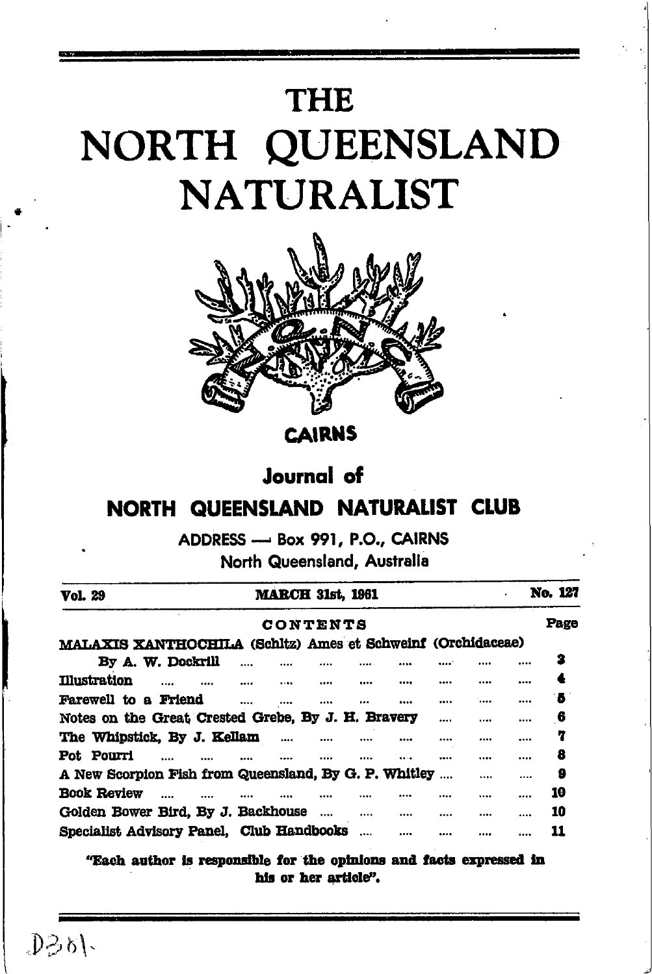# **THE** NORTH QUEENSLAND **NATURALIST**



**CAIRNS** 

## **Journal** of

### NORTH QUEENSLAND NATURALIST CLUB

ADDRESS - Box 991, P.O., CAIRNS

North Queensland, Australia

| <b>Vol. 29</b>                                              | <b>MARCH 31st, 1961</b> |  |  |  |          |          | No. 127 |  |  |
|-------------------------------------------------------------|-------------------------|--|--|--|----------|----------|---------|--|--|
|                                                             | CONTENTS                |  |  |  |          |          |         |  |  |
| MALAXIS XANTHOCHILA (Schltz) Ames et Schweinf (Orchidaceae) |                         |  |  |  |          |          |         |  |  |
| By A. W. Dockrill                                           |                         |  |  |  |          |          |         |  |  |
| <b>Illustration</b><br>$\cdots$<br>                         |                         |  |  |  |          |          |         |  |  |
| Farewell to a Friend<br>$\cdots$                            |                         |  |  |  | $\cdots$ | $\cdots$ | Ъ       |  |  |
| Notes on the Great Crested Grebe, By J. H. Bravery          |                         |  |  |  |          |          | 6       |  |  |
| The Whipstick, By J. Kellam                                 |                         |  |  |  |          |          | 7       |  |  |
| Pot Pourri<br>                                              |                         |  |  |  |          |          | 8       |  |  |
| A New Scorpion Fish from Queensland, By G. P. Whitley       |                         |  |  |  |          |          | 9       |  |  |
| <b>Book Review</b><br>                                      |                         |  |  |  |          |          | 10      |  |  |
| Golden Bower Bird, By J. Backhouse                          |                         |  |  |  |          |          | 10      |  |  |
| Specialist Advisory Panel, Club Handbooks                   |                         |  |  |  |          |          | 11      |  |  |

"Each author is responsible for the opinions and facts expressed in his or her article".

 $D361$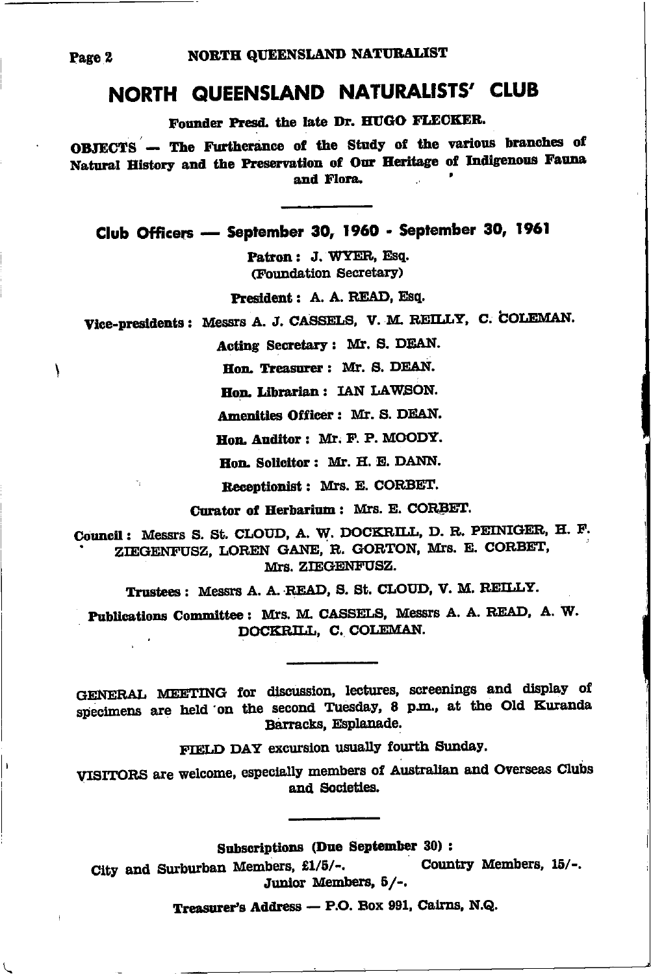### NORTH QUEENSLAND NATURALISTS' CLUB

Founder Presd. the late Dr. HUGO FLECKER.

OBJECTS - The Furtherance of the Study of the various branches of Natural History and the Preservation of Our Heritage of Indigenous Fauna and Flora.

Club Officers - September 30, 1960 - September 30, 1961

Patron: J. WYER, Esq. (Foundation Secretary)

President : A. A. READ, Esq.

Vice-presidents: Messrs A. J. CASSELS, V. M. REILLY, C. COLEMAN.

Acting Secretary: Mr. S. DEAN.

Hon. Treasurer: Mr. S. DEAN.

Hon. Librarian : IAN LAWSON.

Amenities Officer: Mr. S. DEAN.

Hon. Auditor: Mr. F. P. MOODY.

Hon. Solicitor: Mr. H. E. DANN.

Receptionist: Mrs. E. CORBET.

Curator of Herbarium: Mrs. E. CORBET.

Council: Messrs S. St. CLOUD, A. W. DOCKRILL, D. R. PEINIGER, H. F. ZIEGENFUSZ, LOREN GANE, R. GORTON, Mrs. E. CORBET, Mrs. ZIEGENFUSZ.

Trustees: Messrs A. A. READ, S. St. CLOUD, V. M. REILLY.

Publications Committee: Mrs. M. CASSELS, Messrs A. A. READ, A. W. DOCKRILL, C. COLEMAN.

GENERAL MEETING for discussion, lectures, screenings and display of specimens are held on the second Tuesday, 8 p.m., at the Old Kuranda Barracks, Esplanade.

FIELD DAY excursion usually fourth Sunday.

VISITORS are welcome, especially members of Australian and Overseas Clubs and Societies.

Subscriptions (Due September 30): City and Surburban Members, £1/5/-. Country Members, 15/-. Junior Members, 5/-.

Treasurer's Address - P.O. Box 991, Cairns, N.Q.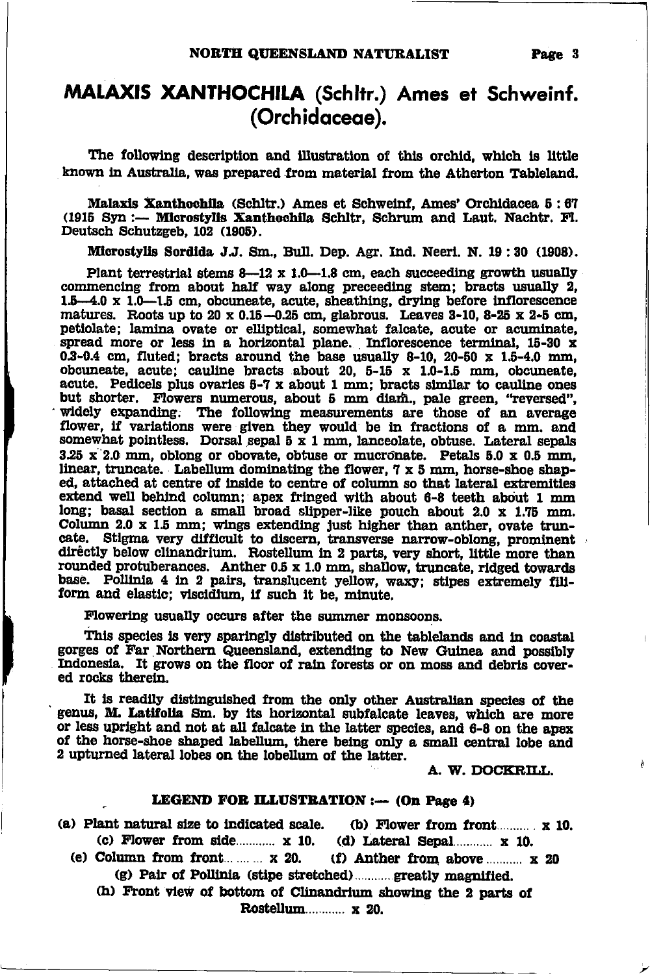### MALAXIS XANTHOCHILA (Schltr.) Ames et Schweinf. (Orchidaceae).

The following description and illustration of this orchid, which is little known in Australia, was prepared from material from the Atherton Tableland.

Malaxis Xanthochila (Schltr.) Ames et Schweinf, Ames' Orchidacea 5:67 (1915 Syn :- Microstylis Xanthochila Schltr, Schrum and Laut. Nachtr. Fl. Deutsch Schutzgeb, 102 (1905).

Microstylis Sordida J.J. Sm., Bull. Dep. Agr. Ind. Neeri. N. 19:30 (1908).

Plant terrestrial stems 8--12 x 1.0--1.8 cm, each succeeding growth usually commencing from about half way along preceeding stem; bracts usually 2, 1.5 -4.0 x 1.0 -1.5 cm, obcuneate, acute, sheathing, drying before inflorescence matures. Roots up to 20 x 0.15-0.25 cm. glabrous. Leaves 3-10, 8-25 x 2-5 cm. petiolate; lamina ovate or elliptical, somewhat falcate, acute or acuminate, spread more or less in a horizontal plane. Inflorescence terminal, 15-30 x  $0.3-0.4$  cm, fluted; bracts around the base usually 8-10, 20-50 x 1.5-4.0 mm, obcuneate, acute; cauline bracts about 20,  $5-15 \times 1.0-1.5$  mm, obcuneate, acute. Pedicels plus ovaries 5-7 x about 1 mm; bracts similar to cauline ones but shorter. Flowers numerous, about 5 mm diam., pale green, "reversed", widely expanding. The following measurements are those of an average flower, if variations were given they would be in fractions of a mm. and somewhat pointless. Dorsal sepal 5 x 1 mm, lanceolate, obtuse. Lateral sepals 3.25 x 2.0 mm, oblong or obovate, obtuse or mucronate. Petals 5.0 x 0.5 mm, linear, truncate. Labellum dominating the flower,  $7 \times 5$  mm, horse-shoe shaped, attached at centre of inside to centre of column so that lateral extremities extend well behind column; apex fringed with about 6-8 teeth about 1 mm long; basal section a small broad slipper-like pouch about  $2.0 \times 1.75$  mm. Column 2.0 x 1.5 mm; wings extending just higher than anther, ovate truncate. Stigma very difficult to discern, transverse narrow-oblong, prominent directly below clinandrium. Rostellum in 2 parts, very short, little more rounded protuberances. Anther 0.5 x 1.0 mm, shallow, truncate, ridged towards base. Pollinia 4 in 2 pairs, translucent yellow, waxy; stipes extremely fillform and elastic; viscidium, if such it be, minute.

Flowering usually occurs after the summer monsoons.

This species is very sparingly distributed on the tablelands and in coastal gorges of Far Northern Queensland, extending to New Guinea and possibly Indonesia. It grows on the floor of rain forests or on moss and debris covered rocks therein.

It is readily distinguished from the only other Australian species of the genus, M. Latifolia Sm. by its horizontal subfalcate leaves, which are more or less upright and not at all falcate in the latter species, and 6-8 on the apex of the horse-shoe shaped labellum, there being only a small central lobe and 2 upturned lateral lobes on the lobellum of the latter.

A. W. DOCKRILL.

#### LEGEND FOR ILLUSTRATION :-- (On Page 4)

- (a) Plant natural size to indicated scale. (b) Flower from front.......... x 10. (c) Flower from side............  $x$  10. (d) Lateral Sepal .......... x 10.
	- (e) Column from front...........  $x \, 20$ . (f) Anther from above ........... x 20 (g) Pair of Pollinia (stipe stretched) .......... greatly magnified.
		- (h) Front view of bottom of Clinandrium showing the 2 parts of Rostellum........... x 20.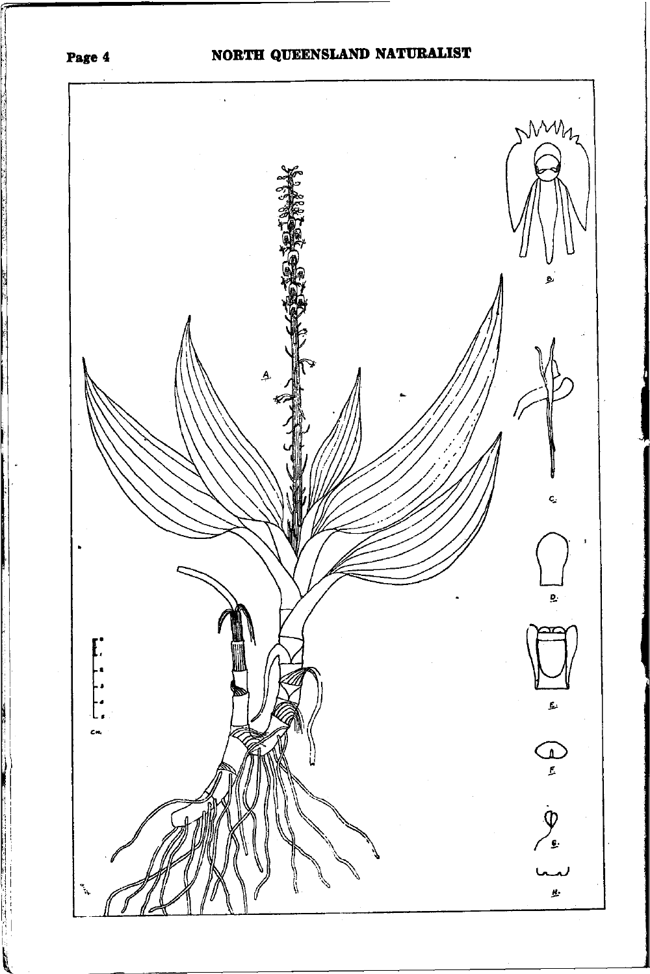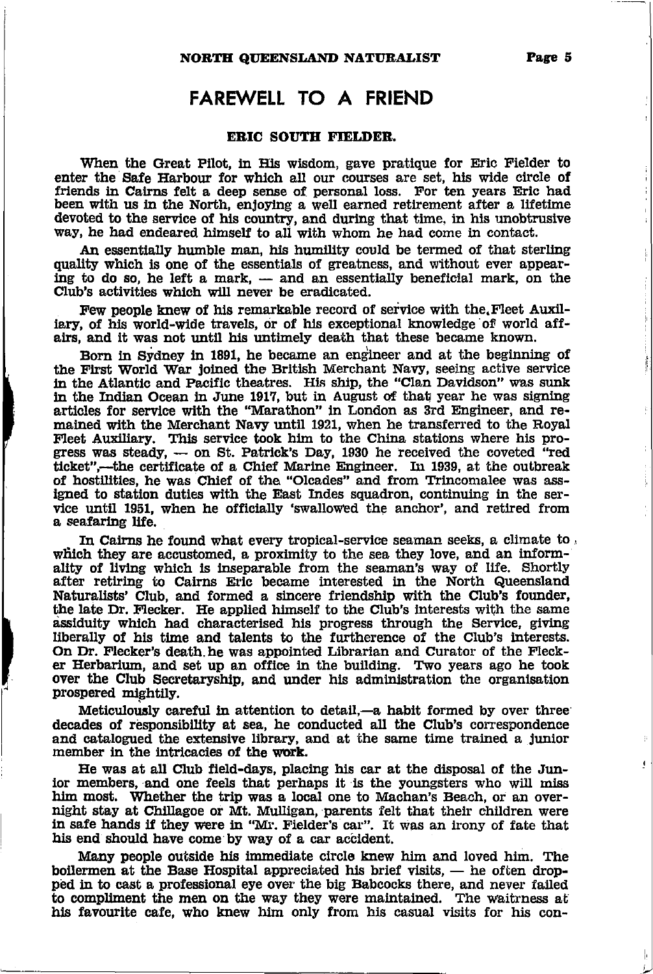### FAREWELL TO A FRIEND

#### **ERIC SOUTH FIELDER.**

When the Great Pilot, in His wisdom, gave pratique for Eric Fielder to enter the Safe Harbour for which all our courses are set, his wide circle of friends in Cairns felt a deep sense of personal loss. For ten years Eric had been with us in the North, enjoying a well earned retirement after a lifetime devoted to the service of his country, and during that time, in his unobtrusive way, he had endeared himself to all with whom he had come in contact.

An essentially humble man, his humility could be termed of that sterling quality which is one of the essentials of greatness, and without ever appearing to do so, he left a mark,  $-$  and an essentially beneficial mark, on the Club's activities which will never be eradicated.

Few people knew of his remarkable record of service with the Fleet Auxiliary, of his world-wide travels, or of his exceptional knowledge of world affairs, and it was not until his untimely death that these became known.

Born in Sydney in 1891, he became an engineer and at the beginning of the First World War joined the British Merchant Navy, seeing active service in the Atlantic and Pacific theatres. His ship, the "Clan Davidson" was sunk in the Indian Ocean in June 1917, but in August of that year he was signing articles for service with the "Marathon" in London as 3rd Engineer, and remained with the Merchant Navy until 1921, when he transferred to the Royal Fleet Auxiliary. This service took him to the China stations where his progress was steady, - on St. Patrick's Day, 1930 he received the coveted "red ticket",--the certificate of a Chief Marine Engineer. In 1939, at the outbreak of hostilities, he was Chief of the "Olcades" and from Trincomalee was assigned to station duties with the East Indes squadron, continuing in the service until 1951, when he officially 'swallowed the anchor', and retired from a seafaring life.

In Cairns he found what every tropical-service seaman seeks, a climate to which they are accustomed, a proximity to the sea they love, and an informality of living which is inseparable from the seaman's way of life. Shortly after retiring to Cairns Eric became interested in the North Queensland Naturalists' Club, and formed a sincere friendship with the Club's founder, the late Dr. Flecker. He applied himself to the Club's interests with the same assiduity which had characterised his progress through the Service, giving liberally of his time and talents to the furtherence of the Club's interests. On Dr. Flecker's death he was appointed Librarian and Curator of the Flecker Herbarium, and set up an office in the building. Two years ago he took over the Club Secretaryship, and under his administration the organisation prospered mightily.

Meticulously careful in attention to detail,—a habit formed by over three decades of responsibility at sea, he conducted all the Club's correspondence and catalogued the extensive library, and at the same time trained a junior member in the intricacies of the work.

He was at all Club field-days, placing his car at the disposal of the Junior members, and one feels that perhaps it is the youngsters who will miss him most. Whether the trip was a local one to Machan's Beach, or an overnight stay at Chillagoe or Mt. Mulligan, parents felt that their children were in safe hands if they were in "Mr. Fielder's car". It was an irony of fate that his end should have come by way of a car accident.

Many people outside his immediate circle knew him and loved him. The boilermen at the Base Hospital appreciated his brief visits, — he often dropped in to cast a professional eye over the big Babcocks there, and never failed to compliment the men on the way they were maintained. The waitrness at his favourite cafe, who knew him only from his casual visits for his con-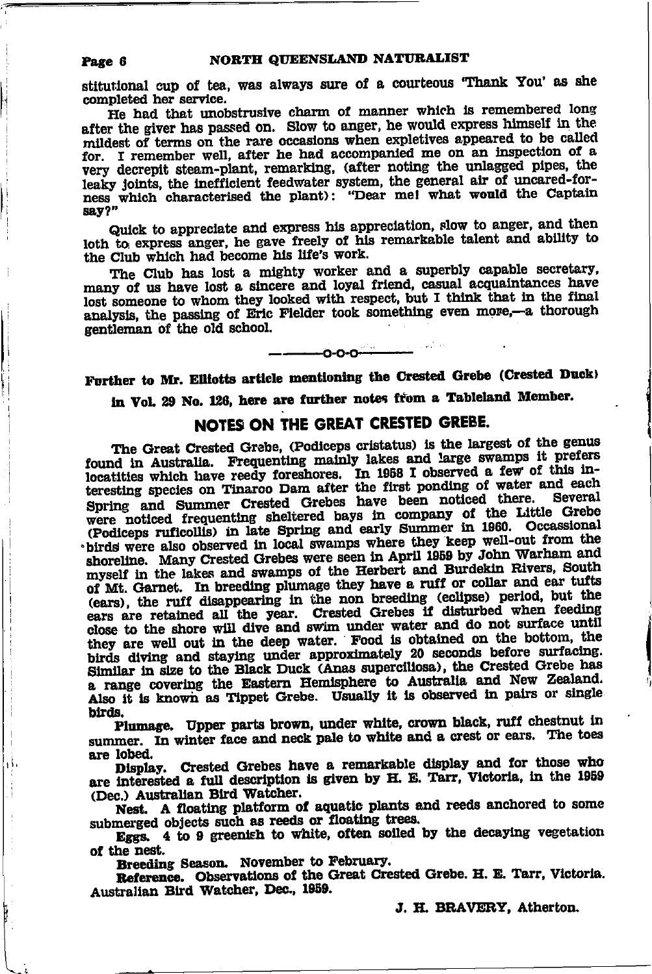stitutional cup of tea, was always sure of a courteous 'Thank You' as she completed her service.

He had that unobstrusive charm of manner which is remembered long after the giver has passed on. Slow to anger, he would express himself in the mildest of terms on the rare occasions when expletives appeared to be called for. I remember well, after he had accompanied me on an inspection of a very decrepit steam-plant, remarking, (after noting the unlagged pines, the leaky joints, the inefficient feedwater system, the general air of uncared-forness which characterised the plant): "Dear mel what would the Captain say?"

Quick to appreciate and express his appreciation, slow to anger, and then loth to express anger, he gave freely of his remarkable talent and ability to the Club which had become his life's work.

The Club has lost a mighty worker and a superbly capable secretary. many of us have lost a sincere and loyal friend, casual acquaintances have lost someone to whom they looked with respect, but I think that in the final analysis, the passing of Eric Fielder took something even more,-a thorough gentleman of the old school.

Further to Mr. Elliotts article mentioning the Crested Grebe (Crested Duck)

in Vol. 29 No. 126, here are further notes from a Tableland Member.

#### NOTES ON THE GREAT CRESTED GREBE.

The Great Crested Grebe, (Podiceps cristatus) is the largest of the genus found in Australia. Frequenting mainly lakes and large swamps it prefers locatities which have reedy foreshores. In 1958 I observed a few of this interesting species on Tinaroo Dam after the first ponding of water and each Spring and Summer Crested Grebes have been noticed there. Several were noticed frequenting sheltered bays in company of the Little Grebe (Podiceps ruficollis) in late Spring and early Summer in 1960. Occassional birds were also observed in local swamps where they keep well-out from the shoreline. Many Crested Grebes were seen in April 1959 by John Warham and myself in the lakes and swamps of the Herbert and Burdekin Rivers, South of Mt. Garnet. In breeding plumage they have a ruff or collar and ear tufts (ears), the ruff disappearing in the non breeding (eclipse) period, but the ears are retained all the year. Crested Grebes if disturbed when feeding close to the shore will dive and swim under water and do not surface until they are well out in the deep water. Food is obtained on the bottom, the birds diving and staying under approximately 20 seconds before surfacing. Similar in size to the Black Duck (Anas superciliosa), the Crested Grebe has a range covering the Eastern Hemisphere to Australia and New Zealand. Also it is known as Tippet Grebe. Usually it is observed in pairs or single birds.

Plumage. Upper parts brown, under white, crown black, ruff chestnut in summer. In winter face and neck pale to white and a crest or ears. The toes are lobed.

Display. Crested Grebes have a remarkable display and for those who are interested a full description is given by H. E. Tarr, Victoria, in the 1959 (Dec.) Australian Bird Watcher.

Nest. A floating platform of aquatic plants and reeds anchored to some submerged objects such as reeds or floating trees.

Eggs. 4 to 9 greenish to white, often soiled by the decaying vegetation of the nest.

Breeding Season. November to February.

Reference. Observations of the Great Crested Grebe. H. E. Tarr, Victoria. Australian Bird Watcher, Dec., 1959.

J. H. BRAVERY, Atherton.

#### Page 6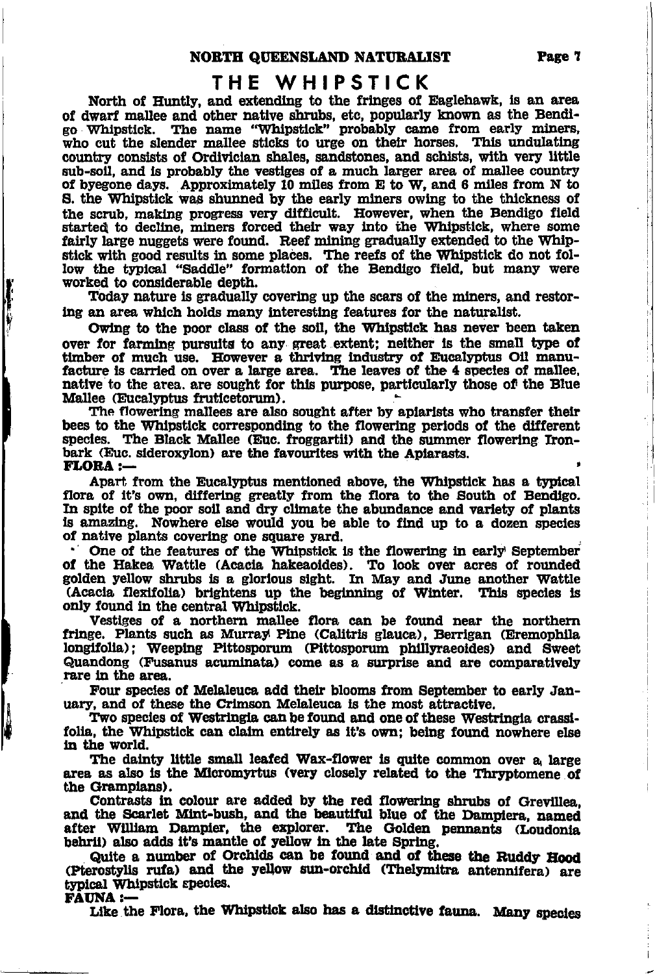#### THE WHIPSTICK

North of Huntly, and extending to the fringes of Eaglehawk, is an area of dwarf mallee and other native shrubs, etc. popularly known as the Bendigo Whipstick. The name "Whipstick" probably came from early miners,<br>who cut the slender mallee sticks to urge on their horses. This undulating country consists of Ordivician shales, sandstones, and schists, with very little sub-soil, and is probably the vestiges of a much larger area of mallee country of byegone days. Approximately 10 miles from E to W, and 6 miles from N to S. the Whipstick was shunned by the early miners owing to the thickness of the scrub, making progress very difficult. However, when the Bendigo field started to decline, miners forced their way into the Whipstick, where some fairly large nuggets were found. Reef mining gradually extended to the Whipstick with good results in some places. The reefs of the Whipstick do not follow the typical "Saddle" formation of the Bendigo field, but many were worked to considerable depth.

Today nature is gradually covering up the scars of the miners, and restoring an area which holds many interesting features for the naturalist.

Owing to the poor class of the soil, the Whipstick has never been taken over for farming pursuits to any great extent; neither is the small type of timber of much use. However a thriving industry of Eucalyptus Oil manufacture is carried on over a large area. The leaves of the 4 species of mallee, native to the area, are sought for this purpose, particularly those of the Blue Mallee (Eucalyptus fruticetorum).

The flowering mallees are also sought after by apiarists who transfer their bees to the Whipstick corresponding to the flowering periods of the different species. The Black Mallee (Euc. froggartii) and the summer flowering Ironbark (Euc. sideroxylon) are the favourites with the Apiarasts. **FLORA:-**

Apart from the Eucalyptus mentioned above, the Whipstick has a typical flora of it's own, differing greatly from the flora to the South of Bendigo. In spite of the poor soil and dry climate the abundance and variety of plants is amazing. Nowhere else would you be able to find up to a dozen species of native plants covering one square yard.

One of the features of the Whipstick is the flowering in early September of the Hakea Wattle (Acacla hakeaoides). To look over acres of rounded golden yellow shrubs is a glorious sight. In May and June another Wattle (Acacia flexifolia) brightens up the beginning of Winter. This species is only found in the central Whipstick.

Vestiges of a northern mallee flora can be found near the northern fringe. Plants such as Murray Pine (Calitris glauca), Berrigan (Eremophila longifolia); Weeping Pittosporum (Pittosporum phillyraeoides) and Sweet Quandong (Fusanus acuminata) come as a surprise and are comparatively rare in the area.

Four species of Melaleuca add their blooms from September to early January, and of these the Crimson Melaleuca is the most attractive.

Two species of Westringia can be found and one of these Westringia crassifolia, the Whipstick can claim entirely as it's own; being found nowhere else in the world.

The dainty little small leafed Wax-flower is quite common over a large area as also is the Micromyrtus (very closely related to the Thryptomene of the Grampians).

Contrasts in colour are added by the red flowering shrubs of Grevillea. and the Scarlet Mint-bush, and the beautiful blue of the Dampiera, named after William Dampier, the explorer. The Golden pennants (Loudonia behrii) also adds it's mantle of yellow in the late Spring.

Quite a number of Orchids can be found and of these the Ruddy Hood (Pterostylis rufa) and the yellow sun-orchid (Thelymitra antennifera) are typical Whipstick species.

**FAUNA:-**

Like the Flora, the Whipstick also has a distinctive fauna. Many species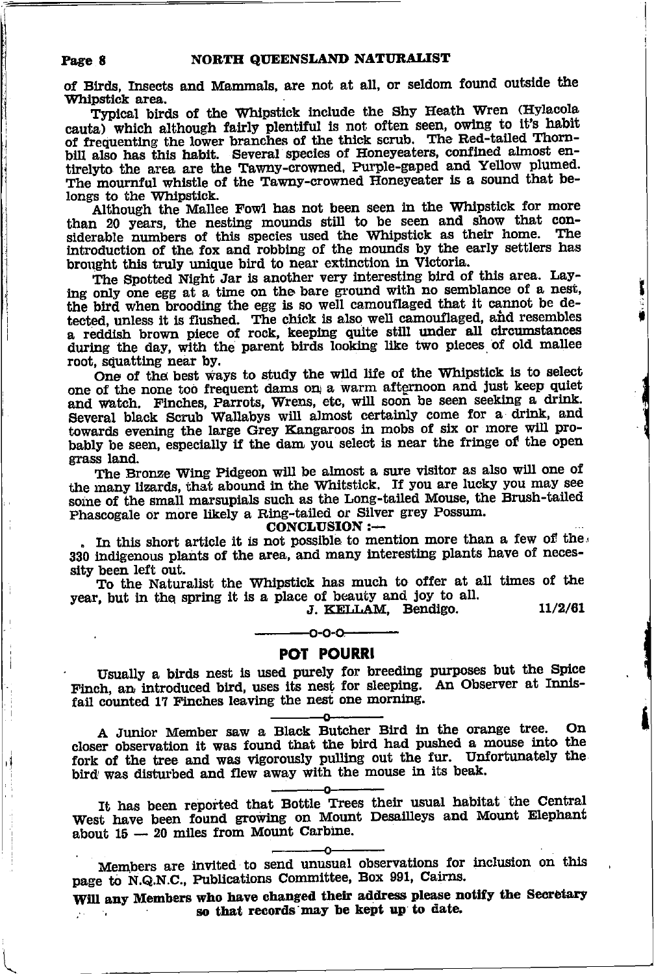of Birds, Insects and Mammals, are not at all, or seldom found outside the Whipstick area.

Typical birds of the Whipstick include the Shy Heath Wren (Hylacola cauta) which although fairly plentiful is not often seen, owing to it's habit of frequenting the lower branches of the thick scrub. The Red-tailed Thornbill also has this habit. Several species of Honeyeaters, confined almost entirelyto the area are the Tawny-crowned, Purple-gaped and Yellow plumed. The mournful whistle of the Tawny-crowned Honeyeater is a sound that belongs to the Whipstick.

Although the Mallee Fowl has not been seen in the Whipstick for more than 20 years, the nesting mounds still to be seen and show that considerable numbers of this species used the Whipstick as their home. The introduction of the fox and robbing of the mounds by the early settlers has brought this truly unique bird to near extinction in Victoria.

The Spotted Night Jar is another very interesting bird of this area. Laying only one egg at a time on the bare ground with no semblance of a nest, the bird when brooding the egg is so well camouflaged that it cannot be detected, unless it is flushed. The chick is also well camouflaged, and resembles a reddish brown piece of rock, keeping quite still under all circumstances during the day, with the parent birds looking like two pieces of old mallee root, squatting near by.

One of the best ways to study the wild life of the Whipstick is to select one of the none too frequent dams on a warm afternoon and just keep quiet and watch. Finches, Parrots, Wrens, etc, will soon be seen seeking a drink. Several black Scrub Wallabys will almost certainly come for a drink, and towards evening the large Grey Kangaroos in mobs of six or more will probably be seen, especially if the dam you select is near the fringe of the open grass land.

The Bronze Wing Pidgeon will be almost a sure visitor as also will one of the many lizards, that abound in the Whitstick. If you are lucky you may see some of the small marsupials such as the Long-tailed Mouse, the Brush-tailed Phascogale or more likely a Ring-tailed or Silver grey Possum.

#### CONCLUSION :-

In this short article it is not possible to mention more than a few of the. 330 indigenous plants of the area, and many interesting plants have of necessity been left out.

To the Naturalist the Whipstick has much to offer at all times of the year, but in the spring it is a place of beauty and joy to all.

J. KELLAM, Bendigo.  $11/2/61$ 

#### $-0 - 0 - 0$ **POT POURRI**

Usually a birds nest is used purely for breeding purposes but the Spice Finch, an introduced bird, uses its nest for sleeping. An Observer at Innisfail counted 17 Finches leaving the nest one morning. Ą

A Junior Member saw a Black Butcher Bird in the orange tree. **On** closer observation it was found that the bird had pushed a mouse into the fork of the tree and was vigorously pulling out the fur. Unfortunately the bird was disturbed and flew away with the mouse in its beak.

It has been reported that Bottle Trees their usual habitat the Central West have been found growing on Mount Desailleys and Mount Elephant about  $15 - 20$  miles from Mount Carbine.

Members are invited to send unusual observations for inclusion on this page to N.Q.N.C., Publications Committee, Box 991, Cairns.

Will any Members who have changed their address please notify the Secretary so that records may be kept up to date.  $\mathcal{F}^{\mathcal{A}}$  .

#### Page 8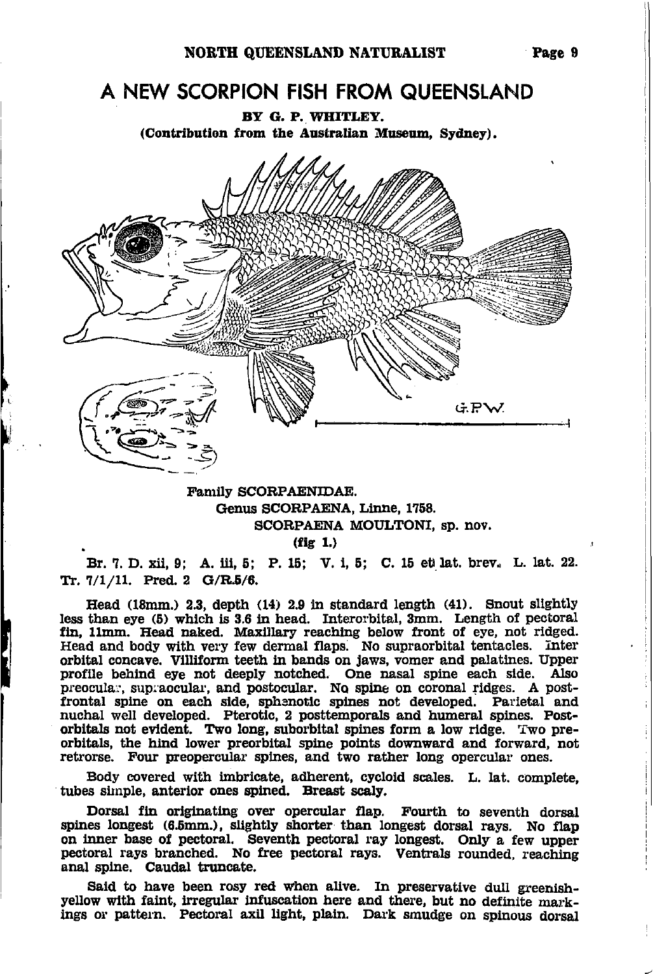### A NEW SCORPION FISH FROM QUEENSLAND

BY G. P. WHITLEY. (Contribution from the Australian Museum, Sydney).



#### Family SCORPAENIDAE. Genus SCORPAENA, Linne, 1758. SCORPAENA MOULTONI, sp. nov.  $(fig 1.)$

Br. 7, D. xii, 9; A. iii, 5; P. 15; V. i, 5; C. 15 et lat. brev. L. lat. 22. Tr. 7/1/11. Pred. 2 G/R.5/6.

Head (18mm.) 2.3, depth (14) 2.9 in standard length (41). Snout slightly less than eye (5) which is 3.6 in head. Interorbital, 3mm. Length of pectoral fin, 11mm. Head naked. Maxillary reaching below front of eye, not ridged. Head and body with very few dermal flaps. No supraorbital tentacles. Inter orbital concave. Villiform teeth in bands on jaws, vomer and palatines. Upper profile behind eye not deeply notched. One nasal spine each side. Also preocula., supraccular, and postcoular. No spine on coronal ridges. A post-<br>frontal spine on each side, sphenotic spines not developed. Parietal and nuchal well developed. Pterotic, 2 posttemporals and humeral spines. Postorbitals not evident. Two long, suborbital spines form a low ridge. Two preorbitals, the hind lower preorbital spine points downward and forward, not retrorse. Four preopercular spines, and two rather long opercular ones.

Body covered with imbricate, adherent, cycloid scales. L. lat. complete. tubes simple, anterior ones spined. Breast scaly.

Dorsal fin originating over opercular flap. Fourth to seventh dorsal spines longest (6.5mm.), slightly shorter than longest dorsal rays. No flap on inner base of pectoral. Seventh pectoral ray longest. Only a few upper pectoral rays branched. No free pectoral rays. Ventrals rounded, reaching anal spine. Caudal truncate.

Said to have been rosy red when alive. In preservative dull greenishyellow with faint, irregular infuscation here and there, but no definite markings or pattern. Pectoral axil light, plain. Dark smudge on spinous dorsal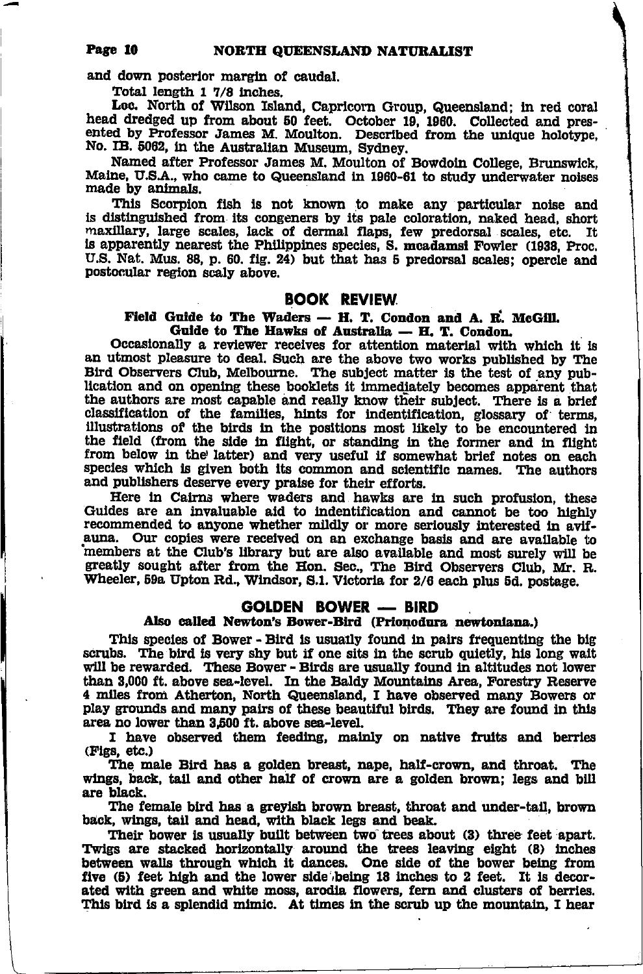and down posterior margin of caudal.

Total length 1 7/8 inches.

Loc. North of Wilson Island, Capricorn Group, Queensland; in red coral head dredged up from about 50 feet. October 19, 1960. Collected and presented by Professor James M. Moulton. Described from the unique holotype, No. IB. 5062, in the Australian Museum, Sydney.

Named after Professor James M. Moulton of Bowdoin College. Brunswick. Maine, U.S.A., who came to Queensland in 1960-61 to study underwater noises made by animals.

This Scorpion fish is not known to make any particular noise and is distinguished from its congeners by its pale coloration, naked head, short maxillary, large scales, lack of dermal flaps, few predorsal scales, etc. It is apparently nearest the Philippines species, S. meadamsi Fowler (1938, Proc. U.S. Nat. Mus. 88, p. 60, fig. 24) but that has 5 predorsal scales; opercle and postocular region scaly above.

#### **BOOK REVIEW.**

#### Field Guide to The Waders - H. T. Condon and A. R. McGill. Guide to The Hawks of Australia - H. T. Condon.

Occasionally a reviewer receives for attention material with which it is an utmost pleasure to deal. Such are the above two works published by The Bird Observers Club, Melbourne. The subject matter is the test of any publication and on opening these booklets it immediately becomes apparent that the authors are most capable and really know their subject. There is a brief classification of the families, hints for indentification, glossary of terms, illustrations of the birds in the positions most likely to be encountered in the field (from the side in flight, or standing in the former and in flight from below in the latter) and very useful if somewhat brief notes on each species which is given both its common and scientific names. The authors and publishers deserve every praise for their efforts.

Here in Cairns where waders and hawks are in such profusion, these Guides are an invaluable aid to indentification and cannot be too highly recommended to anyone whether mildly or more seriously interested in avifauna. Our copies were received on an exchange basis and are available to members at the Club's library but are also available and most surely will be greatly sought after from the Hon. Sec., The Bird Observers Club, Mr. R. Wheeler, 59a Upton Rd., Windsor, S.1. Victoria for 2/6 each plus 5d. postage.

#### **GOLDEN BOWER — BIRD**

#### Also called Newton's Bower-Bird (Prionodura newtoniana.)

This species of Bower - Bird is usually found in pairs frequenting the big scrubs. The bird is very shy but if one sits in the scrub quietly, his long wait will be rewarded. These Bower - Birds are usually found in altitudes not lower than 3,000 ft. above sea-level. In the Baldy Mountains Area, Forestry Reserve 4 miles from Atherton, North Queensland, I have observed many Bowers or play grounds and many pairs of these beautiful birds. They are found in this area no lower than 3,500 ft. above sea-level.

I have observed them feeding, mainly on native fruits and berries (Figs. etc.)

The male Bird has a golden breast, nape, half-crown, and throat. The wings, back, tail and other half of crown are a golden brown; legs and bill are black.

The female bird has a greyish brown breast, throat and under-tail, brown back, wings, tail and head, with black legs and beak.

Their bower is usually built between two trees about (3) three feet apart. Twigs are stacked horizontally around the trees leaving eight (8) inches between walls through which it dances. One side of the bower being from five (5) feet high and the lower side being 18 inches to 2 feet. It is decorated with green and white moss, arodia flowers, fern and clusters of berries. This bird is a splendid mimic. At times in the scrub up the mountain, I hear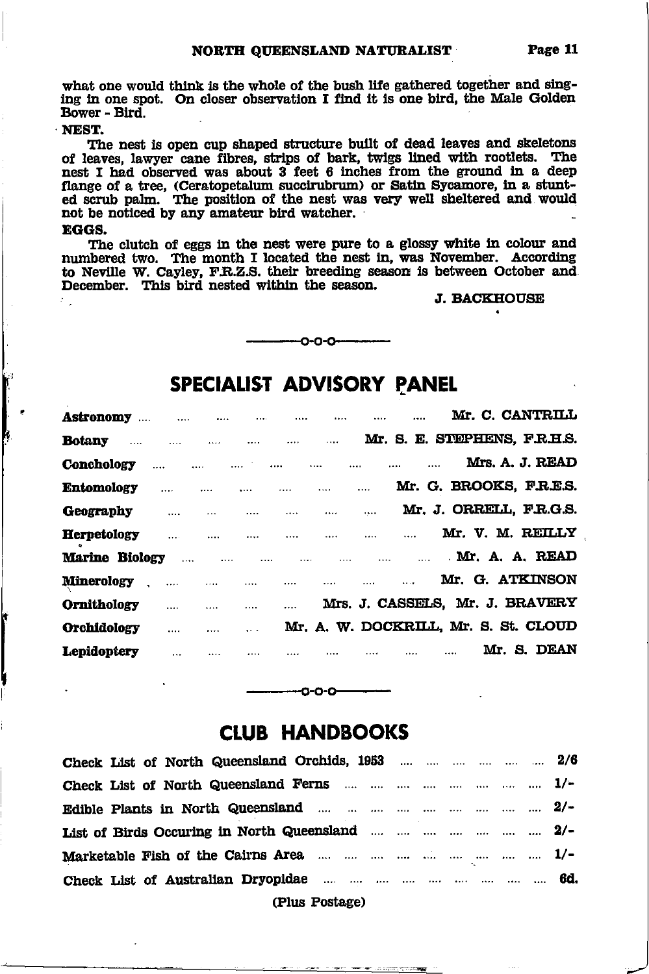what one would think is the whole of the bush life gathered together and singing in one spot. On closer observation I find it is one bird, the Male Golden Bower - Bird.

NEST.

The nest is open cup shaped structure built of dead leaves and skeletons of leaves, lawyer cane fibres, strips of bark, twigs lined with rootlets. The nest I had observed was about 3 feet 6 inches from the ground in a deep flange of a tree, (Ceratopetalum succirubrum) or Satin Sycamore, in a stunted scrub palm. The position of the nest was very well sheltered and would not be noticed by any amateur bird watcher. **EGGS.** 

The clutch of eggs in the nest were pure to a glossy white in colour and numbered two. The month I located the nest in, was November. According to Neville W. Cayley, F.R.Z.S. their breeding season is between October and December. This bird nested within the season.

J. BACKHOUSE

### SPECIALIST ADVISORY PANEL

o-o-o

| Astronomy  and the contract of the contract of the contract of the contract of the contract of the contract of the contract of the contract of the contract of the contract of the contract of the contract of the contrac |                                        |                            |                                                                                       |          |  | Mr. C. CANTRILL                      |
|----------------------------------------------------------------------------------------------------------------------------------------------------------------------------------------------------------------------------|----------------------------------------|----------------------------|---------------------------------------------------------------------------------------|----------|--|--------------------------------------|
| <b>Botany</b><br>$\cdots$                                                                                                                                                                                                  | المعدد المعطان المتعادل المتنب المنتقل |                            |                                                                                       |          |  | Mr. S. E. STEPHENS, F.R.H.S.         |
| <b>Conchology</b><br>$\cdots$                                                                                                                                                                                              |                                        |                            | المتراد المتراد المتراد المتراد المتراد المتراد                                       |          |  | Mrs. A. J. READ                      |
| <b>Entomology</b>                                                                                                                                                                                                          |                                        | $\cdots$ $\cdots$ $\cdots$ |                                                                                       |          |  | Mr. G. BROOKS, F.R.E.S.              |
| Geography                                                                                                                                                                                                                  | and the state of the state             |                            | $\frac{1}{2}$ and $\frac{1}{2}$ and $\frac{1}{2}$ and $\frac{1}{2}$ and $\frac{1}{2}$ |          |  | Mr. J. ORRELL, F.R.G.S.              |
| <b>Herpetology</b>                                                                                                                                                                                                         |                                        |                            |                                                                                       |          |  | Mr. V. M. REILLY                     |
|                                                                                                                                                                                                                            |                                        |                            |                                                                                       |          |  | Mr. A. A. READ                       |
| <b>Minerology</b>                                                                                                                                                                                                          | $\sim$ $\sim$                          |                            | المستحدث المتباد المتبرد المتبرد المتنادي                                             |          |  | Mr. G. ATKINSON                      |
| <b>Ornithology</b>                                                                                                                                                                                                         | $\ddotsc$                              |                            |                                                                                       |          |  | Mrs. J. CASSELS, Mr. J. BRAVERY      |
| <b>Orchidology</b>                                                                                                                                                                                                         | $\ddotsc$                              |                            |                                                                                       |          |  | Mr. A. W. DOCKRILL, Mr. S. St. CLOUD |
| Lepidoptery                                                                                                                                                                                                                | $\ddotsc$                              |                            | <br>                                                                                  | $\cdots$ |  | Mr. S. DEAN                          |

### **CLUB HANDBOOKS**

**0-0-0** 

| Check List of North Queensland Orchids, 1953      2/6 |  |  |  |  |
|-------------------------------------------------------|--|--|--|--|
| Check List of North Queensland Ferns        1/-       |  |  |  |  |
|                                                       |  |  |  |  |
| List of Birds Occuring in North Queensland       2/-  |  |  |  |  |
|                                                       |  |  |  |  |
|                                                       |  |  |  |  |
| (Plus Postage)                                        |  |  |  |  |